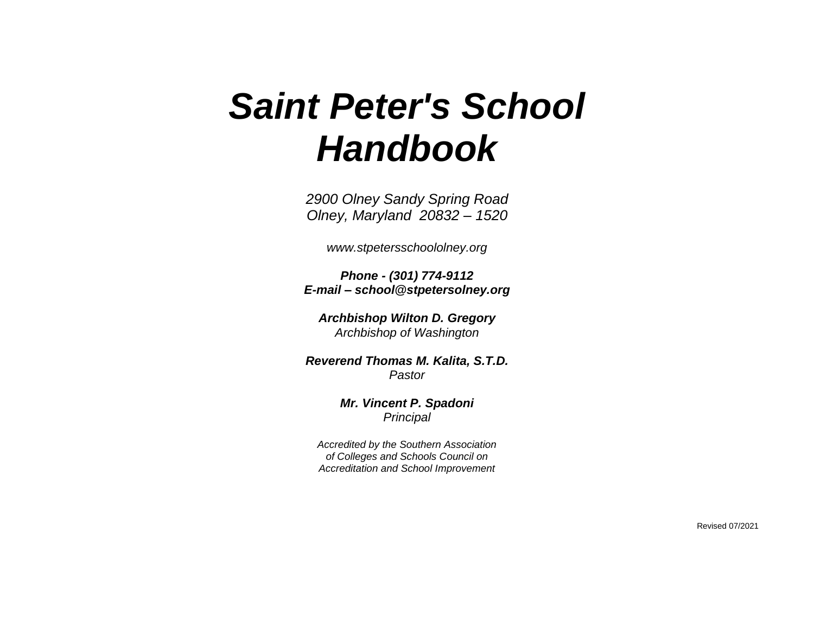# *Saint Peter's School Handbook*

*2900 Olney Sandy Spring Road Olney, Maryland 20832 – 1520*

*www.stpetersschoololney.org*

*Phone - (301) 774-9112 E-mail – school@stpetersolney.org*

*Archbishop Wilton D. Gregory Archbishop of Washington*

*Reverend Thomas M. Kalita, S.T.D. Pastor*

> *Mr. Vincent P. Spadoni Principal*

*Accredited by the Southern Association of Colleges and Schools Council on Accreditation and School Improvement*

Revised 07/2021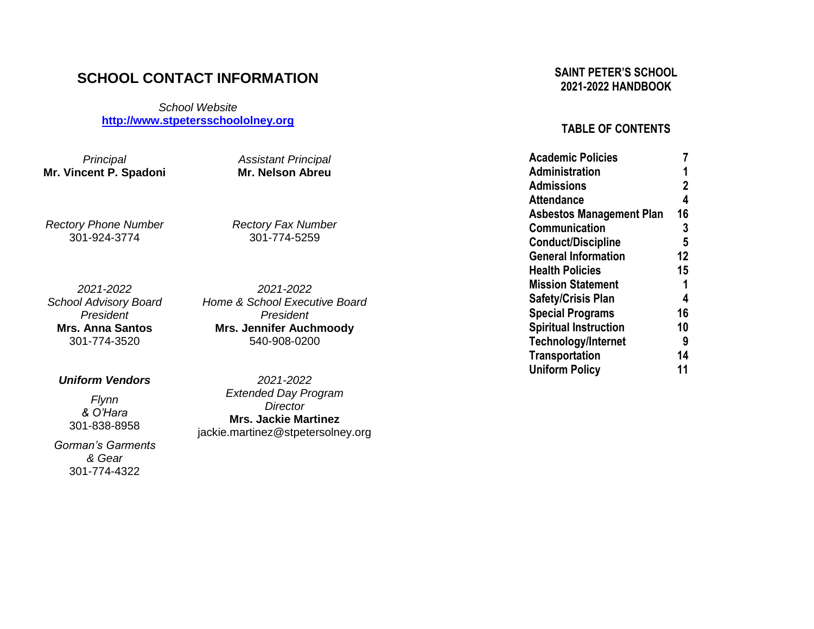# **SCHOOL CONTACT INFORMATION**

*School Website* **[http://www.stpetersschoololney.org](http://www.stpetersschoololney.org/)**

*Principal* **Mr. Vincent P. Spadoni**

*Rectory Phone Number* 301 -924 -3774

*2021 -202 2 School Advisory Board President* **Mrs. Anna Santos** 301 -774 -3520

*Uniform Vendors*

*Flynn & O'Hara* 301 -838 -8958

*Gorman's Garments & Gear* 301 -774 -4322

*2021 -202 2 Home & School Executive Board President* **Mr s. Jennifer Auchmoody** 540 -908 -0200

*Assistant Principal* **Mr. Nelson Abreu**

*Rectory Fax Number* 301 -774 -5259

*2021 -202 2 Extended Day Program Director* **Mrs. Jackie Martinez** jackie.martinez@stpetersolney.org

# **SAINT PETER'S SCHOOL 2021 -20 2 2 HANDBOOK**

# **TABLE OF CONTENTS**

| <b>Academic Policies</b>        |    |
|---------------------------------|----|
| Administration                  | 1  |
| <b>Admissions</b>               | 2  |
| <b>Attendance</b>               | 4  |
| <b>Asbestos Management Plan</b> | 16 |
| Communication                   | 3  |
| <b>Conduct/Discipline</b>       | 5  |
| <b>General Information</b>      | 12 |
| <b>Health Policies</b>          | 15 |
| <b>Mission Statement</b>        | 1  |
| <b>Safety/Crisis Plan</b>       | 4  |
| <b>Special Programs</b>         | 16 |
| <b>Spiritual Instruction</b>    | 10 |
| <b>Technology/Internet</b>      | 9  |
| <b>Transportation</b>           | 14 |
| <b>Uniform Policy</b>           | 11 |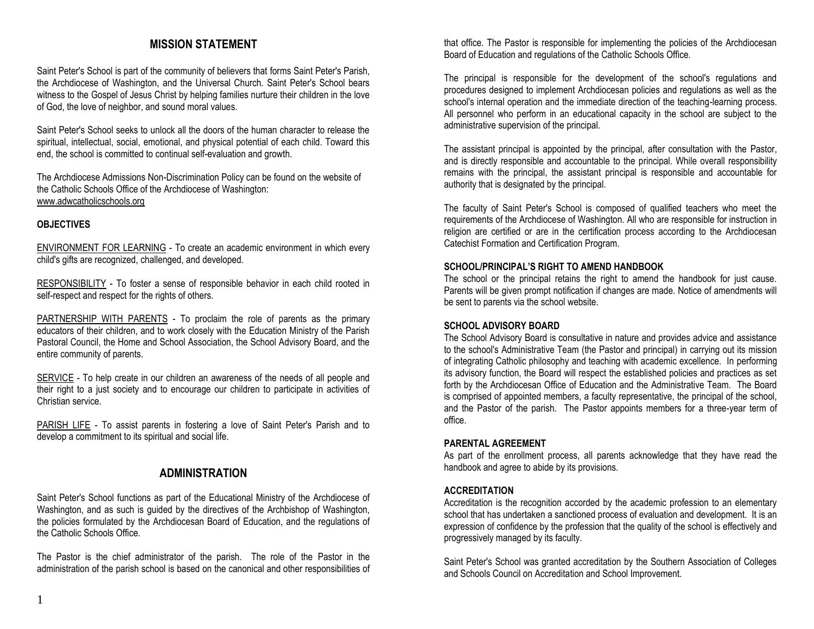# **MISSION STATEMENT**

Saint Peter's School is part of the community of believers that forms Saint Peter's Parish, the Archdiocese of Washington, and the Universal Church. Saint Peter's School bears witness to the Gospel of Jesus Christ by helping families nurture their children in the love of God, the love of neighbor, and sound moral values.

Saint Peter's School seeks to unlock all the doors of the human character to release the spiritual, intellectual, social, emotional, and physical potential of each child. Toward this end, the school is committed to continual self-evaluation and growth.

The Archdiocese Admissions Non-Discrimination Policy can be found on the website of the Catholic Schools Office of the Archdiocese of Washington: [www.adwcatholicschools.org](http://www.adwcatholicschools.org/)

#### **OBJECTIVES**

ENVIRONMENT FOR LEARNING - To create an academic environment in which every child's gifts are recognized, challenged, and developed.

RESPONSIBILITY - To foster a sense of responsible behavior in each child rooted in self-respect and respect for the rights of others.

PARTNERSHIP WITH PARENTS - To proclaim the role of parents as the primary educators of their children, and to work closely with the Education Ministry of the Parish Pastoral Council, the Home and School Association, the School Advisory Board, and the entire community of parents.

SERVICE - To help create in our children an awareness of the needs of all people and their right to a just society and to encourage our children to participate in activities of Christian service.

PARISH LIFE - To assist parents in fostering a love of Saint Peter's Parish and to develop a commitment to its spiritual and social life.

# **ADMINISTRATION**

Saint Peter's School functions as part of the Educational Ministry of the Archdiocese of Washington, and as such is guided by the directives of the Archbishop of Washington, the policies formulated by the Archdiocesan Board of Education, and the regulations of the Catholic Schools Office.

The Pastor is the chief administrator of the parish. The role of the Pastor in the administration of the parish school is based on the canonical and other responsibilities of that office. The Pastor is responsible for implementing the policies of the Archdiocesan Board of Education and regulations of the Catholic Schools Office.

The principal is responsible for the development of the school's regulations and procedures designed to implement Archdiocesan policies and regulations as well as the school's internal operation and the immediate direction of the teaching-learning process. All personnel who perform in an educational capacity in the school are subject to the administrative supervision of the principal.

The assistant principal is appointed by the principal, after consultation with the Pastor, and is directly responsible and accountable to the principal. While overall responsibility remains with the principal, the assistant principal is responsible and accountable for authority that is designated by the principal.

The faculty of Saint Peter's School is composed of qualified teachers who meet the requirements of the Archdiocese of Washington. All who are responsible for instruction in religion are certified or are in the certification process according to the Archdiocesan Catechist Formation and Certification Program.

#### **SCHOOL/PRINCIPAL'S RIGHT TO AMEND HANDBOOK**

The school or the principal retains the right to amend the handbook for just cause. Parents will be given prompt notification if changes are made. Notice of amendments will be sent to parents via the school website.

#### **SCHOOL ADVISORY BOARD**

The School Advisory Board is consultative in nature and provides advice and assistance to the school's Administrative Team (the Pastor and principal) in carrying out its mission of integrating Catholic philosophy and teaching with academic excellence. In performing its advisory function, the Board will respect the established policies and practices as set forth by the Archdiocesan Office of Education and the Administrative Team. The Board is comprised of appointed members, a faculty representative, the principal of the school, and the Pastor of the parish. The Pastor appoints members for a three-year term of office.

#### **PARENTAL AGREEMENT**

As part of the enrollment process, all parents acknowledge that they have read the handbook and agree to abide by its provisions.

#### **ACCREDITATION**

Accreditation is the recognition accorded by the academic profession to an elementary school that has undertaken a sanctioned process of evaluation and development. It is an expression of confidence by the profession that the quality of the school is effectively and progressively managed by its faculty.

Saint Peter's School was granted accreditation by the Southern Association of Colleges and Schools Council on Accreditation and School Improvement.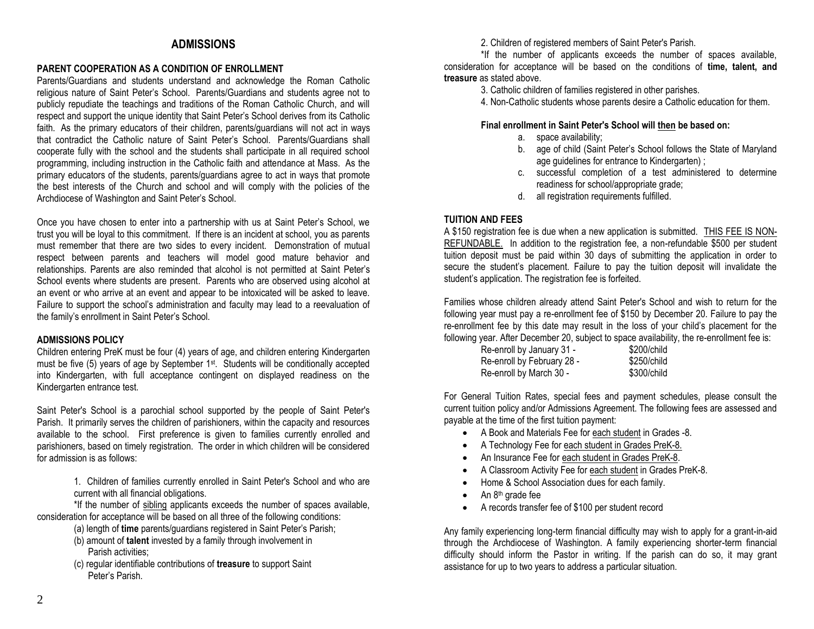# **ADMISSIONS**

#### **PARENT COOPERATION AS A CONDITION OF ENROLLMENT**

Parents/Guardians and students understand and acknowledge the Roman Catholic religious nature of Saint Peter's School. Parents/Guardians and students agree not to publicly repudiate the teachings and traditions of the Roman Catholic Church, and will respect and support the unique identity that Saint Peter's School derives from its Catholic faith. As the primary educators of their children, parents/guardians will not act in ways that contradict the Catholic nature of Saint Peter's School. Parents/Guardians shall cooperate fully with the school and the students shall participate in all required school programming, including instruction in the Catholic faith and attendance at Mass. As the primary educators of the students, parents/guardians agree to act in ways that promote the best interests of the Church and school and will comply with the policies of the Archdiocese of Washington and Saint Peter's School.

Once you have chosen to enter into a partnership with us at Saint Peter's School, we trust you will be loyal to this commitment. If there is an incident at school, you as parents must remember that there are two sides to every incident. Demonstration of mutual respect between parents and teachers will model good mature behavior and relationships. Parents are also reminded that alcohol is not permitted at Saint Peter's School events where students are present. Parents who are observed using alcohol at an event or who arrive at an event and appear to be intoxicated will be asked to leave. Failure to support the school's administration and faculty may lead to a reevaluation of the family's enrollment in Saint Peter's School.

#### **ADMISSIONS POLICY**

Children entering PreK must be four (4) years of age, and children entering Kindergarten must be five (5) years of age by September 1st. Students will be conditionally accepted into Kindergarten, with full acceptance contingent on displayed readiness on the Kindergarten entrance test.

Saint Peter's School is a parochial school supported by the people of Saint Peter's Parish. It primarily serves the children of parishioners, within the capacity and resources available to the school. First preference is given to families currently enrolled and parishioners, based on timely registration. The order in which children will be considered for admission is as follows:

> 1. Children of families currently enrolled in Saint Peter's School and who are current with all financial obligations.

\*If the number of sibling applicants exceeds the number of spaces available, consideration for acceptance will be based on all three of the following conditions:

- (a) length of **time** parents/guardians registered in Saint Peter's Parish;
- (b) amount of **talent** invested by a family through involvement in Parish activities;
- (c) regular identifiable contributions of **treasure** to support Saint Peter's Parish.

2. Children of registered members of Saint Peter's Parish.

\*If the number of applicants exceeds the number of spaces available, consideration for acceptance will be based on the conditions of **time, talent, and treasure** as stated above.

3. Catholic children of families registered in other parishes.

4. Non-Catholic students whose parents desire a Catholic education for them.

#### **Final enrollment in Saint Peter's School will then be based on:**

- a. space availability;
- b. age of child (Saint Peter's School follows the State of Maryland age quidelines for entrance to Kindergarten) ;
- c. successful completion of a test administered to determine readiness for school/appropriate grade;
- d. all registration requirements fulfilled.

#### **TUITION AND FEES**

A \$150 registration fee is due when a new application is submitted. THIS FEE IS NON-REFUNDABLE. In addition to the registration fee, a non-refundable \$500 per student tuition deposit must be paid within 30 days of submitting the application in order to secure the student's placement. Failure to pay the tuition deposit will invalidate the student's application. The registration fee is forfeited.

Families whose children already attend Saint Peter's School and wish to return for the following year must pay a re-enrollment fee of \$150 by December 20. Failure to pay the re-enrollment fee by this date may result in the loss of your child's placement for the following year. After December 20, subject to space availability, the re-enrollment fee is:

| Re-enroll by January 31 -  | \$200/child |
|----------------------------|-------------|
| Re-enroll by February 28 - | \$250/child |
| Re-enroll by March 30 -    | \$300/child |

For General Tuition Rates, special fees and payment schedules, please consult the current tuition policy and/or Admissions Agreement. The following fees are assessed and payable at the time of the first tuition payment:

- A Book and Materials Fee for each student in Grades -8.
- A Technology Fee for each student in Grades PreK-8.
- An Insurance Fee for each student in Grades PreK-8.
- A Classroom Activity Fee for each student in Grades PreK-8.
- Home & School Association dues for each family.
- An 8<sup>th</sup> grade fee
- A records transfer fee of \$100 per student record

Any family experiencing long-term financial difficulty may wish to apply for a grant-in-aid through the Archdiocese of Washington. A family experiencing shorter-term financial difficulty should inform the Pastor in writing. If the parish can do so, it may grant assistance for up to two years to address a particular situation.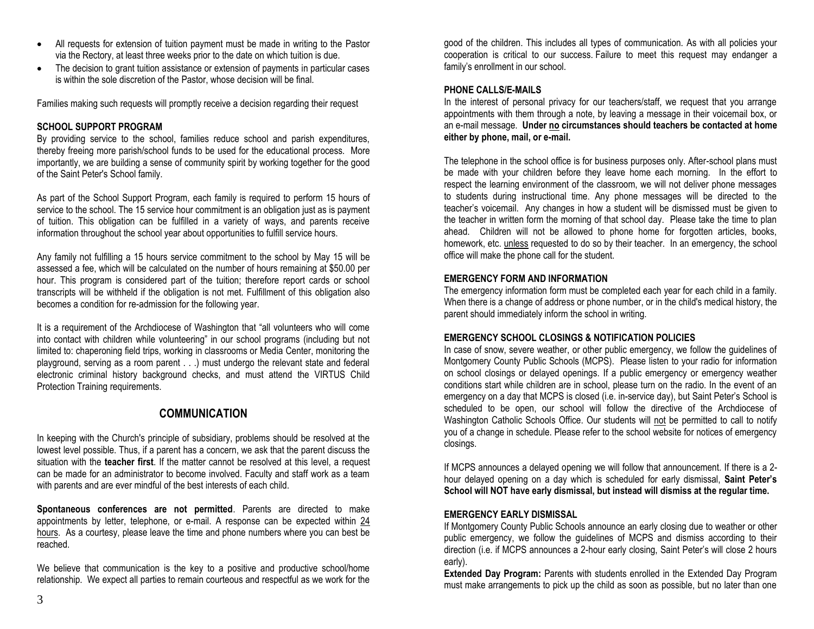- All requests for extension of tuition payment must be made in writing to the Pastor via the Rectory, at least three weeks prior to the date on which tuition is due.
- The decision to grant tuition assistance or extension of payments in particular cases is within the sole discretion of the Pastor, whose decision will be final.

Families making such requests will promptly receive a decision regarding their request

#### **SCHOOL SUPPORT PROGRAM**

By providing service to the school, families reduce school and parish expenditures, thereby freeing more parish/school funds to be used for the educational process. More importantly, we are building a sense of community spirit by working together for the good of the Saint Peter's School family.

As part of the School Support Program, each family is required to perform 15 hours of service to the school. The 15 service hour commitment is an obligation just as is payment of tuition. This obligation can be fulfilled in a variety of ways, and parents receive information throughout the school year about opportunities to fulfill service hours.

Any family not fulfilling a 15 hours service commitment to the school by May 15 will be assessed a fee, which will be calculated on the number of hours remaining at \$50.00 per hour. This program is considered part of the tuition; therefore report cards or school transcripts will be withheld if the obligation is not met. Fulfillment of this obligation also becomes a condition for re-admission for the following year.

It is a requirement of the Archdiocese of Washington that "all volunteers who will come into contact with children while volunteering" in our school programs (including but not limited to: chaperoning field trips, working in classrooms or Media Center, monitoring the playground, serving as a room parent . . .) must undergo the relevant state and federal electronic criminal history background checks, and must attend the VIRTUS Child Protection Training requirements.

# **COMMUNICATION**

In keeping with the Church's principle of subsidiary, problems should be resolved at the lowest level possible. Thus, if a parent has a concern, we ask that the parent discuss the situation with the **teacher first**. If the matter cannot be resolved at this level, a request can be made for an administrator to become involved. Faculty and staff work as a team with parents and are ever mindful of the best interests of each child.

**Spontaneous conferences are not permitted**. Parents are directed to make appointments by letter, telephone, or e-mail. A response can be expected within 24 hours. As a courtesy, please leave the time and phone numbers where you can best be reached.

We believe that communication is the key to a positive and productive school/home relationship. We expect all parties to remain courteous and respectful as we work for the good of the children. This includes all types of communication. As with all policies your cooperation is critical to our success. Failure to meet this request may endanger a family's enrollment in our school.

#### **PHONE CALLS/E-MAILS**

In the interest of personal privacy for our teachers/staff, we request that you arrange appointments with them through a note, by leaving a message in their voicemail box, or an e-mail message. **Under no circumstances should teachers be contacted at home either by phone, mail, or e-mail.** 

The telephone in the school office is for business purposes only. After-school plans must be made with your children before they leave home each morning. In the effort to respect the learning environment of the classroom, we will not deliver phone messages to students during instructional time. Any phone messages will be directed to the teacher's voicemail. Any changes in how a student will be dismissed must be given to the teacher in written form the morning of that school day. Please take the time to plan ahead. Children will not be allowed to phone home for forgotten articles, books, homework, etc. unless requested to do so by their teacher. In an emergency, the school office will make the phone call for the student.

#### **EMERGENCY FORM AND INFORMATION**

The emergency information form must be completed each year for each child in a family. When there is a change of address or phone number, or in the child's medical history, the parent should immediately inform the school in writing.

#### **EMERGENCY SCHOOL CLOSINGS & NOTIFICATION POLICIES**

In case of snow, severe weather, or other public emergency, we follow the guidelines of Montgomery County Public Schools (MCPS). Please listen to your radio for information on school closings or delayed openings. If a public emergency or emergency weather conditions start while children are in school, please turn on the radio. In the event of an emergency on a day that MCPS is closed (i.e. in-service day), but Saint Peter's School is scheduled to be open, our school will follow the directive of the Archdiocese of Washington Catholic Schools Office. Our students will not be permitted to call to notify you of a change in schedule. Please refer to the school website for notices of emergency closings.

If MCPS announces a delayed opening we will follow that announcement. If there is a 2 hour delayed opening on a day which is scheduled for early dismissal, **Saint Peter's School will NOT have early dismissal, but instead will dismiss at the regular time.** 

#### **EMERGENCY EARLY DISMISSAL**

If Montgomery County Public Schools announce an early closing due to weather or other public emergency, we follow the guidelines of MCPS and dismiss according to their direction (i.e. if MCPS announces a 2-hour early closing, Saint Peter's will close 2 hours early).

**Extended Day Program: Parents with students enrolled in the Extended Day Program** must make arrangements to pick up the child as soon as possible, but no later than one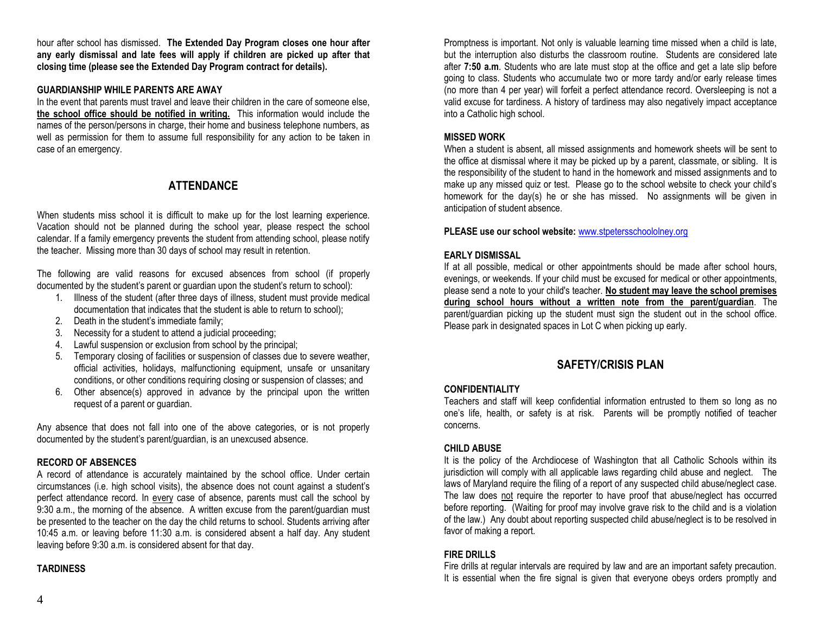hour after school has dismissed. **The Extended Day Program closes one hour after any early dismissal and late fees will apply if children are picked up after that closing time (please see the Extended Day Program contract for details).**

#### **GUARDIANSHIP WHILE PARENTS ARE AWAY**

In the event that parents must travel and leave their children in the care of someone else, **the school office should be notified in writing.** This information would include the names of the person/persons in charge, their home and business telephone numbers, as well as permission for them to assume full responsibility for any action to be taken in case of an emergency.

# **ATTENDANCE**

When students miss school it is difficult to make up for the lost learning experience. Vacation should not be planned during the school year, please respect the school calendar. If a family emergency prevents the student from attending school, please notify the teacher. Missing more than 30 days of school may result in retention.

The following are valid reasons for excused absences from school (if properly documented by the student's parent or guardian upon the student's return to school):

- 1. Illness of the student (after three days of illness, student must provide medical documentation that indicates that the student is able to return to school);
- 2. Death in the student's immediate family;
- 3. Necessity for a student to attend a judicial proceeding;
- 4. Lawful suspension or exclusion from school by the principal;
- 5. Temporary closing of facilities or suspension of classes due to severe weather, official activities, holidays, malfunctioning equipment, unsafe or unsanitary conditions, or other conditions requiring closing or suspension of classes; and
- 6. Other absence(s) approved in advance by the principal upon the written request of a parent or guardian.

Any absence that does not fall into one of the above categories, or is not properly documented by the student's parent/guardian, is an unexcused absence.

## **RECORD OF ABSENCES**

A record of attendance is accurately maintained by the school office. Under certain circumstances (i.e. high school visits), the absence does not count against a student's perfect attendance record. In every case of absence, parents must call the school by 9:30 a.m., the morning of the absence. A written excuse from the parent/guardian must be presented to the teacher on the day the child returns to school. Students arriving after 10:45 a.m. or leaving before 11:30 a.m. is considered absent a half day. Any student leaving before 9:30 a.m. is considered absent for that day.

#### **TARDINESS**

Promptness is important. Not only is valuable learning time missed when a child is late, but the interruption also disturbs the classroom routine. Students are considered late after **7:50 a.m**. Students who are late must stop at the office and get a late slip before going to class. Students who accumulate two or more tardy and/or early release times (no more than 4 per year) will forfeit a perfect attendance record. Oversleeping is not a valid excuse for tardiness. A history of tardiness may also negatively impact acceptance into a Catholic high school.

#### **MISSED WORK**

When a student is absent, all missed assignments and homework sheets will be sent to the office at dismissal where it may be picked up by a parent, classmate, or sibling. It is the responsibility of the student to hand in the homework and missed assignments and to make up any missed quiz or test. Please go to the school website to check your child's homework for the day(s) he or she has missed. No assignments will be given in anticipation of student absence.

**PLEASE use our school website:** [www.stpetersschoololney.org](http://www.stpetersschoololney.org/)

## **EARLY DISMISSAL**

If at all possible, medical or other appointments should be made after school hours, evenings, or weekends. If your child must be excused for medical or other appointments, please send a note to your child's teacher. **No student may leave the school premises during school hours without a written note from the parent/guardian**. The parent/guardian picking up the student must sign the student out in the school office. Please park in designated spaces in Lot C when picking up early.

# **SAFETY/CRISIS PLAN**

#### **CONFIDENTIALITY**

Teachers and staff will keep confidential information entrusted to them so long as no one's life, health, or safety is at risk. Parents will be promptly notified of teacher concerns.

#### **CHILD ABUSE**

It is the policy of the Archdiocese of Washington that all Catholic Schools within its jurisdiction will comply with all applicable laws regarding child abuse and neglect. The laws of Maryland require the filing of a report of any suspected child abuse/neglect case. The law does not require the reporter to have proof that abuse/neglect has occurred before reporting. (Waiting for proof may involve grave risk to the child and is a violation of the law.) Any doubt about reporting suspected child abuse/neglect is to be resolved in favor of making a report.

#### **FIRE DRILLS**

Fire drills at regular intervals are required by law and are an important safety precaution. It is essential when the fire signal is given that everyone obeys orders promptly and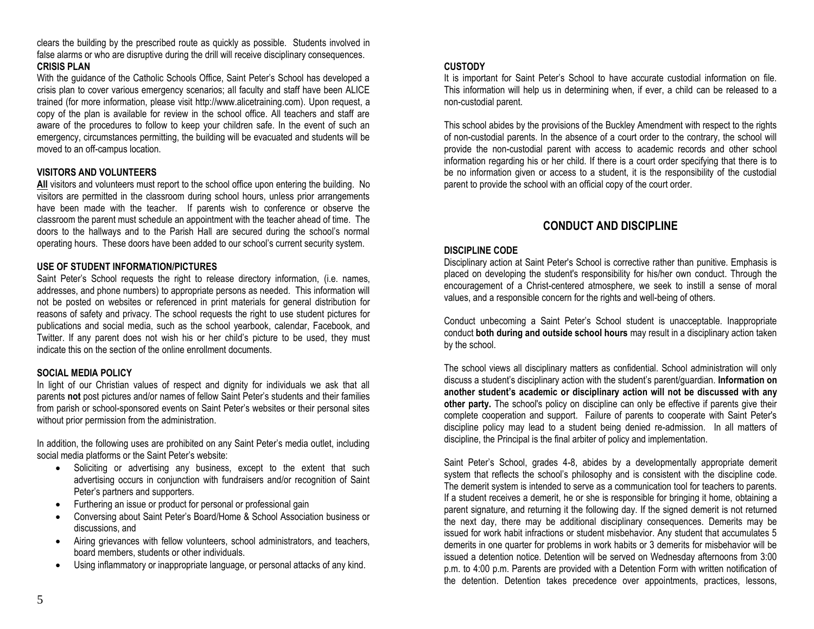clears the building by the prescribed route as quickly as possible. Students involved in false alarms or who are disruptive during the drill will receive disciplinary consequences. **CRISIS PLAN**

With the guidance of the Catholic Schools Office, Saint Peter's School has developed a crisis plan to cover various emergency scenarios; all faculty and staff have been ALICE trained (for more information, please visit http://www.alicetraining.com). Upon request, a copy of the plan is available for review in the school office. All teachers and staff are aware of the procedures to follow to keep your children safe. In the event of such an emergency, circumstances permitting, the building will be evacuated and students will be moved to an off-campus location.

#### **VISITORS AND VOLUNTEERS**

**All** visitors and volunteers must report to the school office upon entering the building. No visitors are permitted in the classroom during school hours, unless prior arrangements have been made with the teacher. If parents wish to conference or observe the classroom the parent must schedule an appointment with the teacher ahead of time. The doors to the hallways and to the Parish Hall are secured during the school's normal operating hours. These doors have been added to our school's current security system.

#### **USE OF STUDENT INFORMATION/PICTURES**

Saint Peter's School requests the right to release directory information, (i.e. names, addresses, and phone numbers) to appropriate persons as needed. This information will not be posted on websites or referenced in print materials for general distribution for reasons of safety and privacy. The school requests the right to use student pictures for publications and social media, such as the school yearbook, calendar, Facebook, and Twitter. If any parent does not wish his or her child's picture to be used, they must indicate this on the section of the online enrollment documents.

#### **SOCIAL MEDIA POLICY**

In light of our Christian values of respect and dignity for individuals we ask that all parents **not** post pictures and/or names of fellow Saint Peter's students and their families from parish or school-sponsored events on Saint Peter's websites or their personal sites without prior permission from the administration.

In addition, the following uses are prohibited on any Saint Peter's media outlet, including social media platforms or the Saint Peter's website:

- Soliciting or advertising any business, except to the extent that such advertising occurs in conjunction with fundraisers and/or recognition of Saint Peter's partners and supporters.
- Furthering an issue or product for personal or professional gain
- Conversing about Saint Peter's Board/Home & School Association business or discussions, and
- Airing grievances with fellow volunteers, school administrators, and teachers, board members, students or other individuals.
- Using inflammatory or inappropriate language, or personal attacks of any kind.

#### **CUSTODY**

It is important for Saint Peter's School to have accurate custodial information on file. This information will help us in determining when, if ever, a child can be released to a non-custodial parent.

This school abides by the provisions of the Buckley Amendment with respect to the rights of non-custodial parents. In the absence of a court order to the contrary, the school will provide the non-custodial parent with access to academic records and other school information regarding his or her child. If there is a court order specifying that there is to be no information given or access to a student, it is the responsibility of the custodial parent to provide the school with an official copy of the court order.

# **CONDUCT AND DISCIPLINE**

#### **DISCIPLINE CODE**

Disciplinary action at Saint Peter's School is corrective rather than punitive. Emphasis is placed on developing the student's responsibility for his/her own conduct. Through the encouragement of a Christ-centered atmosphere, we seek to instill a sense of moral values, and a responsible concern for the rights and well-being of others.

Conduct unbecoming a Saint Peter's School student is unacceptable. Inappropriate conduct **both during and outside school hours** may result in a disciplinary action taken by the school.

The school views all disciplinary matters as confidential. School administration will only discuss a student's disciplinary action with the student's parent/guardian. **Information on another student's academic or disciplinary action will not be discussed with any other party.** The school's policy on discipline can only be effective if parents give their complete cooperation and support. Failure of parents to cooperate with Saint Peter's discipline policy may lead to a student being denied re-admission. In all matters of discipline, the Principal is the final arbiter of policy and implementation.

Saint Peter's School, grades 4-8, abides by a developmentally appropriate demerit system that reflects the school's philosophy and is consistent with the discipline code. The demerit system is intended to serve as a communication tool for teachers to parents. If a student receives a demerit, he or she is responsible for bringing it home, obtaining a parent signature, and returning it the following day. If the signed demerit is not returned the next day, there may be additional disciplinary consequences. Demerits may be issued for work habit infractions or student misbehavior. Any student that accumulates 5 demerits in one quarter for problems in work habits or 3 demerits for misbehavior will be issued a detention notice. Detention will be served on Wednesday afternoons from 3:00 p.m. to 4:00 p.m. Parents are provided with a Detention Form with written notification of the detention. Detention takes precedence over appointments, practices, lessons,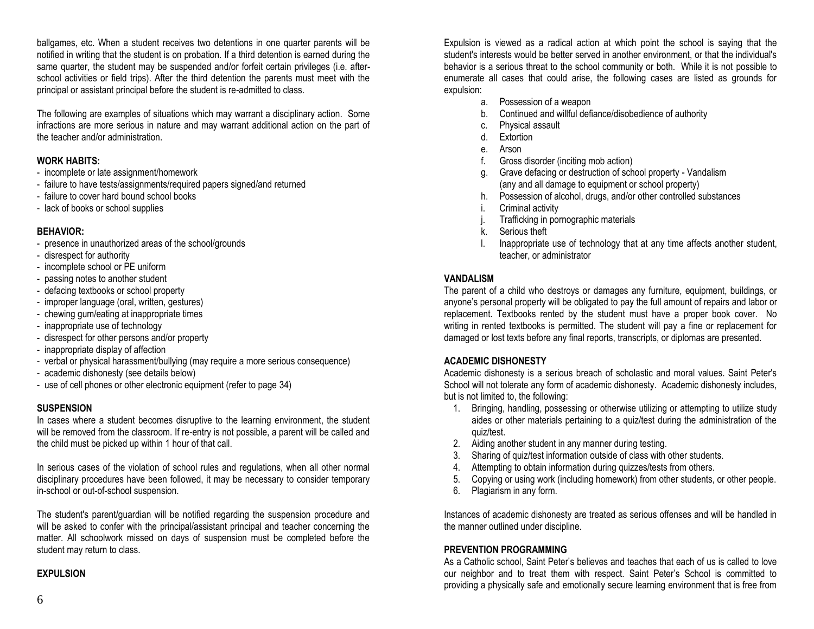ballgames, etc. When a student receives two detentions in one quarter parents will be notified in writing that the student is on probation. If a third detention is earned during the same quarter, the student may be suspended and/or forfeit certain privileges (i.e. afterschool activities or field trips). After the third detention the parents must meet with the principal or assistant principal before the student is re-admitted to class.

The following are examples of situations which may warrant a disciplinary action. Some infractions are more serious in nature and may warrant additional action on the part of the teacher and/or administration.

## **WORK HABITS:**

- incomplete or late assignment/homework
- failure to have tests/assignments/required papers signed/and returned
- failure to cover hard bound school books
- lack of books or school supplies

#### **BEHAVIOR:**

- presence in unauthorized areas of the school/grounds
- disrespect for authority
- incomplete school or PE uniform
- passing notes to another student
- defacing textbooks or school property
- improper language (oral, written, gestures)
- chewing gum/eating at inappropriate times
- inappropriate use of technology
- disrespect for other persons and/or property
- inappropriate display of affection
- verbal or physical harassment/bullying (may require a more serious consequence)
- academic dishonesty (see details below)
- use of cell phones or other electronic equipment (refer to page 34)

#### **SUSPENSION**

In cases where a student becomes disruptive to the learning environment, the student will be removed from the classroom. If re-entry is not possible, a parent will be called and the child must be picked up within 1 hour of that call.

In serious cases of the violation of school rules and regulations, when all other normal disciplinary procedures have been followed, it may be necessary to consider temporary in-school or out-of-school suspension.

The student's parent/guardian will be notified regarding the suspension procedure and will be asked to confer with the principal/assistant principal and teacher concerning the matter. All schoolwork missed on days of suspension must be completed before the student may return to class.

#### **EXPULSION**

Expulsion is viewed as a radical action at which point the school is saying that the student's interests would be better served in another environment, or that the individual's behavior is a serious threat to the school community or both. While it is not possible to enumerate all cases that could arise, the following cases are listed as grounds for expulsion:

- a. Possession of a weapon
- b. Continued and willful defiance/disobedience of authority
- c. Physical assault
- d. Extortion
- e. Arson
- f. Gross disorder (inciting mob action)
- g. Grave defacing or destruction of school property Vandalism (any and all damage to equipment or school property)
- h. Possession of alcohol, drugs, and/or other controlled substances
- i. Criminal activity
- Trafficking in pornographic materials
- k. Serious theft
- Inappropriate use of technology that at any time affects another student, teacher, or administrator

#### **VANDALISM**

The parent of a child who destroys or damages any furniture, equipment, buildings, or anyone's personal property will be obligated to pay the full amount of repairs and labor or replacement. Textbooks rented by the student must have a proper book cover. No writing in rented textbooks is permitted. The student will pay a fine or replacement for damaged or lost texts before any final reports, transcripts, or diplomas are presented.

#### **ACADEMIC DISHONESTY**

Academic dishonesty is a serious breach of scholastic and moral values. Saint Peter's School will not tolerate any form of academic dishonesty. Academic dishonesty includes, but is not limited to, the following:

- 1. Bringing, handling, possessing or otherwise utilizing or attempting to utilize study aides or other materials pertaining to a quiz/test during the administration of the quiz/test.
- 2. Aiding another student in any manner during testing.
- 3. Sharing of quiz/test information outside of class with other students.
- 4. Attempting to obtain information during quizzes/tests from others.
- 5. Copying or using work (including homework) from other students, or other people.
- 6. Plagiarism in any form.

Instances of academic dishonesty are treated as serious offenses and will be handled in the manner outlined under discipline.

#### **PREVENTION PROGRAMMING**

As a Catholic school, Saint Peter's believes and teaches that each of us is called to love our neighbor and to treat them with respect. Saint Peter's School is committed to providing a physically safe and emotionally secure learning environment that is free from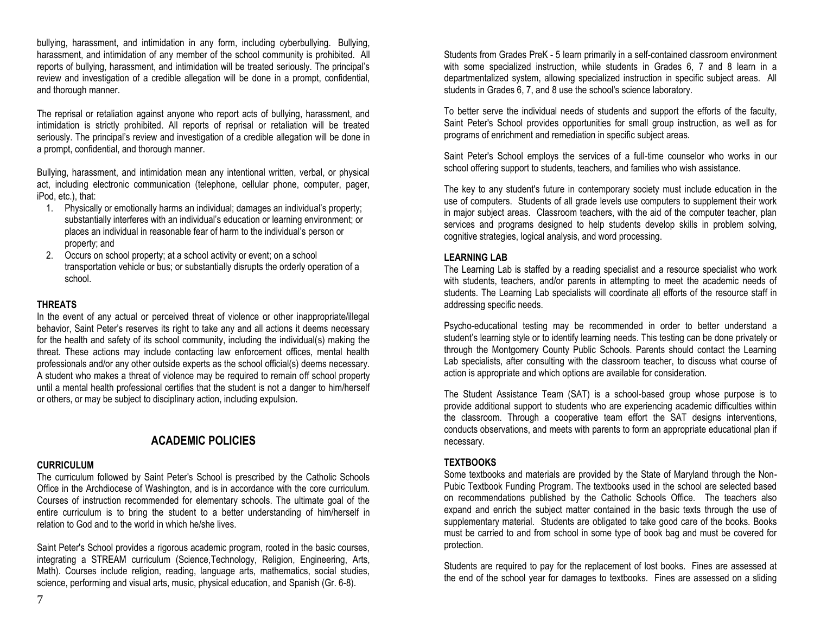bullying, harassment, and intimidation in any form, including cyberbullying. Bullying, harassment, and intimidation of any member of the school community is prohibited. All reports of bullying, harassment, and intimidation will be treated seriously. The principal's review and investigation of a credible allegation will be done in a prompt, confidential, and thorough manner.

The reprisal or retaliation against anyone who report acts of bullying, harassment, and intimidation is strictly prohibited. All reports of reprisal or retaliation will be treated seriously. The principal's review and investigation of a credible allegation will be done in a prompt, confidential, and thorough manner.

Bullying, harassment, and intimidation mean any intentional written, verbal, or physical act, including electronic communication (telephone, cellular phone, computer, pager, iPod, etc.), that:

- 1. Physically or emotionally harms an individual; damages an individual's property; substantially interferes with an individual's education or learning environment; or places an individual in reasonable fear of harm to the individual's person or property; and
- 2. Occurs on school property; at a school activity or event; on a school transportation vehicle or bus; or substantially disrupts the orderly operation of a school.

#### **THREATS**

In the event of any actual or perceived threat of violence or other inappropriate/illegal behavior, Saint Peter's reserves its right to take any and all actions it deems necessary for the health and safety of its school community, including the individual(s) making the threat. These actions may include contacting law enforcement offices, mental health professionals and/or any other outside experts as the school official(s) deems necessary. A student who makes a threat of violence may be required to remain off school property until a mental health professional certifies that the student is not a danger to him/herself or others, or may be subject to disciplinary action, including expulsion.

# **ACADEMIC POLICIES**

#### **CURRICULUM**

The curriculum followed by Saint Peter's School is prescribed by the Catholic Schools Office in the Archdiocese of Washington, and is in accordance with the core curriculum. Courses of instruction recommended for elementary schools. The ultimate goal of the entire curriculum is to bring the student to a better understanding of him/herself in relation to God and to the world in which he/she lives.

Saint Peter's School provides a rigorous academic program, rooted in the basic courses, integrating a STREAM curriculum (Science,Technology, Religion, Engineering, Arts, Math). Courses include religion, reading, language arts, mathematics, social studies, science, performing and visual arts, music, physical education, and Spanish (Gr. 6-8).

Students from Grades PreK - 5 learn primarily in a self-contained classroom environment with some specialized instruction, while students in Grades 6, 7 and 8 learn in a departmentalized system, allowing specialized instruction in specific subject areas. All students in Grades 6, 7, and 8 use the school's science laboratory.

To better serve the individual needs of students and support the efforts of the faculty, Saint Peter's School provides opportunities for small group instruction, as well as for programs of enrichment and remediation in specific subject areas.

Saint Peter's School employs the services of a full-time counselor who works in our school offering support to students, teachers, and families who wish assistance.

The key to any student's future in contemporary society must include education in the use of computers. Students of all grade levels use computers to supplement their work in major subject areas. Classroom teachers, with the aid of the computer teacher, plan services and programs designed to help students develop skills in problem solving, cognitive strategies, logical analysis, and word processing.

#### **LEARNING LAB**

The Learning Lab is staffed by a reading specialist and a resource specialist who work with students, teachers, and/or parents in attempting to meet the academic needs of students. The Learning Lab specialists will coordinate all efforts of the resource staff in addressing specific needs.

Psycho-educational testing may be recommended in order to better understand a student's learning style or to identify learning needs. This testing can be done privately or through the Montgomery County Public Schools. Parents should contact the Learning Lab specialists, after consulting with the classroom teacher, to discuss what course of action is appropriate and which options are available for consideration.

The Student Assistance Team (SAT) is a school-based group whose purpose is to provide additional support to students who are experiencing academic difficulties within the classroom. Through a cooperative team effort the SAT designs interventions, conducts observations, and meets with parents to form an appropriate educational plan if necessary.

## **TEXTBOOKS**

Some textbooks and materials are provided by the State of Maryland through the Non-Pubic Textbook Funding Program. The textbooks used in the school are selected based on recommendations published by the Catholic Schools Office. The teachers also expand and enrich the subject matter contained in the basic texts through the use of supplementary material. Students are obligated to take good care of the books. Books must be carried to and from school in some type of book bag and must be covered for protection.

Students are required to pay for the replacement of lost books. Fines are assessed at the end of the school year for damages to textbooks. Fines are assessed on a sliding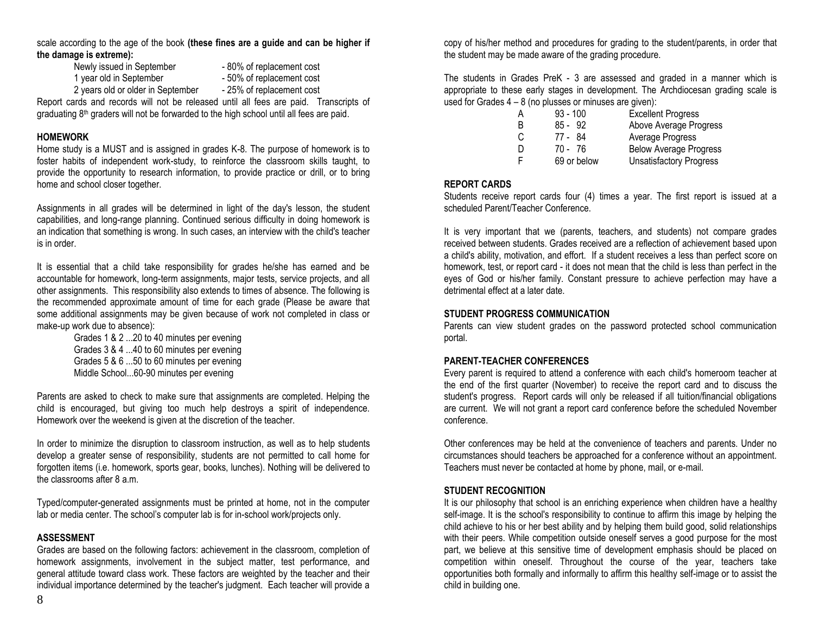scale according to the age of the book **(these fines are a guide and can be higher if the damage is extreme):**

Newly issued in September - 80% of replacement cost

- 
- 
- 1 year old in September 50% of replacement cost
- 2 years old or older in September 25% of replacement cost

Report cards and records will not be released until all fees are paid. Transcripts of graduating 8th graders will not be forwarded to the high school until all fees are paid.

#### **HOMEWORK**

Home study is a MUST and is assigned in grades K-8. The purpose of homework is to foster habits of independent work-study, to reinforce the classroom skills taught, to provide the opportunity to research information, to provide practice or drill, or to bring home and school closer together.

Assignments in all grades will be determined in light of the day's lesson, the student capabilities, and long-range planning. Continued serious difficulty in doing homework is an indication that something is wrong. In such cases, an interview with the child's teacher is in order.

It is essential that a child take responsibility for grades he/she has earned and be accountable for homework, long-term assignments, major tests, service projects, and all other assignments. This responsibility also extends to times of absence. The following is the recommended approximate amount of time for each grade (Please be aware that some additional assignments may be given because of work not completed in class or make-up work due to absence):

Grades 1 & 2 ...20 to 40 minutes per evening Grades 3 & 4 ...40 to 60 minutes per evening Grades 5 & 6 ...50 to 60 minutes per evening Middle School...60-90 minutes per evening

Parents are asked to check to make sure that assignments are completed. Helping the child is encouraged, but giving too much help destroys a spirit of independence. Homework over the weekend is given at the discretion of the teacher.

In order to minimize the disruption to classroom instruction, as well as to help students develop a greater sense of responsibility, students are not permitted to call home for forgotten items (i.e. homework, sports gear, books, lunches). Nothing will be delivered to the classrooms after 8 a.m.

Typed/computer-generated assignments must be printed at home, not in the computer lab or media center. The school's computer lab is for in-school work/projects only.

#### **ASSESSMENT**

Grades are based on the following factors: achievement in the classroom, completion of homework assignments, involvement in the subject matter, test performance, and general attitude toward class work. These factors are weighted by the teacher and their individual importance determined by the teacher's judgment. Each teacher will provide a

copy of his/her method and procedures for grading to the student/parents, in order that the student may be made aware of the grading procedure.

The students in Grades PreK - 3 are assessed and graded in a manner which is appropriate to these early stages in development. The Archdiocesan grading scale is used for Grades  $4 - 8$  (no plusses or minuses are given):

| Α | $93 - 100$  | <b>Excellent Progress</b>      |
|---|-------------|--------------------------------|
| B | $85 - 92$   | Above Average Progress         |
| C | 77 - 84     | Average Progress               |
| D | 70 - 76     | <b>Below Average Progress</b>  |
| F | 69 or below | <b>Unsatisfactory Progress</b> |

#### **REPORT CARDS**

Students receive report cards four (4) times a year. The first report is issued at a scheduled Parent/Teacher Conference.

It is very important that we (parents, teachers, and students) not compare grades received between students. Grades received are a reflection of achievement based upon a child's ability, motivation, and effort. If a student receives a less than perfect score on homework, test, or report card - it does not mean that the child is less than perfect in the eyes of God or his/her family. Constant pressure to achieve perfection may have a detrimental effect at a later date.

#### **STUDENT PROGRESS COMMUNICATION**

Parents can view student grades on the password protected school communication portal.

#### **PARENT-TEACHER CONFERENCES**

Every parent is required to attend a conference with each child's homeroom teacher at the end of the first quarter (November) to receive the report card and to discuss the student's progress. Report cards will only be released if all tuition/financial obligations are current. We will not grant a report card conference before the scheduled November conference.

Other conferences may be held at the convenience of teachers and parents. Under no circumstances should teachers be approached for a conference without an appointment. Teachers must never be contacted at home by phone, mail, or e-mail.

#### **STUDENT RECOGNITION**

It is our philosophy that school is an enriching experience when children have a healthy self-image. It is the school's responsibility to continue to affirm this image by helping the child achieve to his or her best ability and by helping them build good, solid relationships with their peers. While competition outside oneself serves a good purpose for the most part, we believe at this sensitive time of development emphasis should be placed on competition within oneself. Throughout the course of the year, teachers take opportunities both formally and informally to affirm this healthy self-image or to assist the child in building one.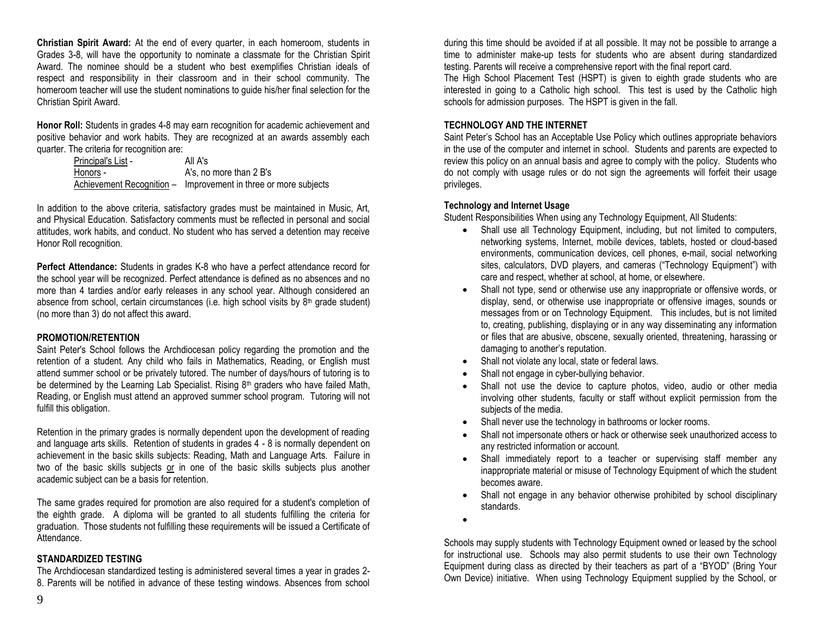**Christian Spirit Award:** At the end of every quarter, in each homeroom, students in Grades 3-8, will have the opportunity to nominate a classmate for the Christian Spirit Award. The nominee should be a student who best exemplifies Christian ideals of respect and responsibility in their classroom and in their school community. The homeroom teacher will use the student nominations to guide his/her final selection for the Christian Spirit Award.

**Honor Roll:** Students in grades 4-8 may earn recognition for academic achievement and positive behavior and work habits. They are recognized at an awards assembly each quarter. The criteria for recognition are:

| Principal's List - | All A's                                                         |
|--------------------|-----------------------------------------------------------------|
| Honors -           | A's, no more than 2 B's                                         |
|                    | Achievement Recognition - Improvement in three or more subjects |

In addition to the above criteria, satisfactory grades must be maintained in Music, Art, and Physical Education. Satisfactory comments must be reflected in personal and social attitudes, work habits, and conduct. No student who has served a detention may receive Honor Roll recognition.

**Perfect Attendance:** Students in grades K-8 who have a perfect attendance record for the school year will be recognized. Perfect attendance is defined as no absences and no more than 4 tardies and/or early releases in any school year. Although considered an absence from school, certain circumstances (i.e. high school visits by  $8<sup>th</sup>$  grade student) (no more than 3) do not affect this award.

#### **PROMOTION/RETENTION**

Saint Peter's School follows the Archdiocesan policy regarding the promotion and the retention of a student. Any child who fails in Mathematics, Reading, or English must attend summer school or be privately tutored. The number of days/hours of tutoring is to be determined by the Learning Lab Specialist. Rising 8<sup>th</sup> graders who have failed Math, Reading, or English must attend an approved summer school program. Tutoring will not fulfill this obligation.

Retention in the primary grades is normally dependent upon the development of reading and language arts skills. Retention of students in grades 4 - 8 is normally dependent on achievement in the basic skills subjects: Reading, Math and Language Arts. Failure in two of the basic skills subjects or in one of the basic skills subjects plus another academic subject can be a basis for retention.

The same grades required for promotion are also required for a student's completion of the eighth grade. A diploma will be granted to all students fulfilling the criteria for graduation. Those students not fulfilling these requirements will be issued a Certificate of Attendance.

#### **STANDARDIZED TESTING**

The Archdiocesan standardized testing is administered several times a year in grades 2- 8. Parents will be notified in advance of these testing windows. Absences from school

during this time should be avoided if at all possible. It may not be possible to arrange a time to administer make-up tests for students who are absent during standardized testing. Parents will receive a comprehensive report with the final report card.

The High School Placement Test (HSPT) is given to eighth grade students who are interested in going to a Catholic high school. This test is used by the Catholic high schools for admission purposes. The HSPT is given in the fall.

#### **TECHNOLOGY AND THE INTERNET**

Saint Peter's School has an Acceptable Use Policy which outlines appropriate behaviors in the use of the computer and internet in school. Students and parents are expected to review this policy on an annual basis and agree to comply with the policy. Students who do not comply with usage rules or do not sign the agreements will forfeit their usage privileges.

#### **Technology and Internet Usage**

Student Responsibilities When using any Technology Equipment, All Students:

- Shall use all Technology Equipment, including, but not limited to computers, networking systems, Internet, mobile devices, tablets, hosted or cloud-based environments, communication devices, cell phones, e-mail, social networking sites, calculators, DVD players, and cameras ("Technology Equipment") with care and respect, whether at school, at home, or elsewhere.
- Shall not type, send or otherwise use any inappropriate or offensive words, or display, send, or otherwise use inappropriate or offensive images, sounds or messages from or on Technology Equipment. This includes, but is not limited to, creating, publishing, displaying or in any way disseminating any information or files that are abusive, obscene, sexually oriented, threatening, harassing or damaging to another's reputation.
- Shall not violate any local, state or federal laws.
- Shall not engage in cyber-bullying behavior.
- Shall not use the device to capture photos, video, audio or other media involving other students, faculty or staff without explicit permission from the subjects of the media.
- Shall never use the technology in bathrooms or locker rooms.
- Shall not impersonate others or hack or otherwise seek unauthorized access to any restricted information or account.
- Shall immediately report to a teacher or supervising staff member any inappropriate material or misuse of Technology Equipment of which the student becomes aware.
- Shall not engage in any behavior otherwise prohibited by school disciplinary standards.
- •

Schools may supply students with Technology Equipment owned or leased by the school for instructional use. Schools may also permit students to use their own Technology Equipment during class as directed by their teachers as part of a "BYOD" (Bring Your Own Device) initiative. When using Technology Equipment supplied by the School, or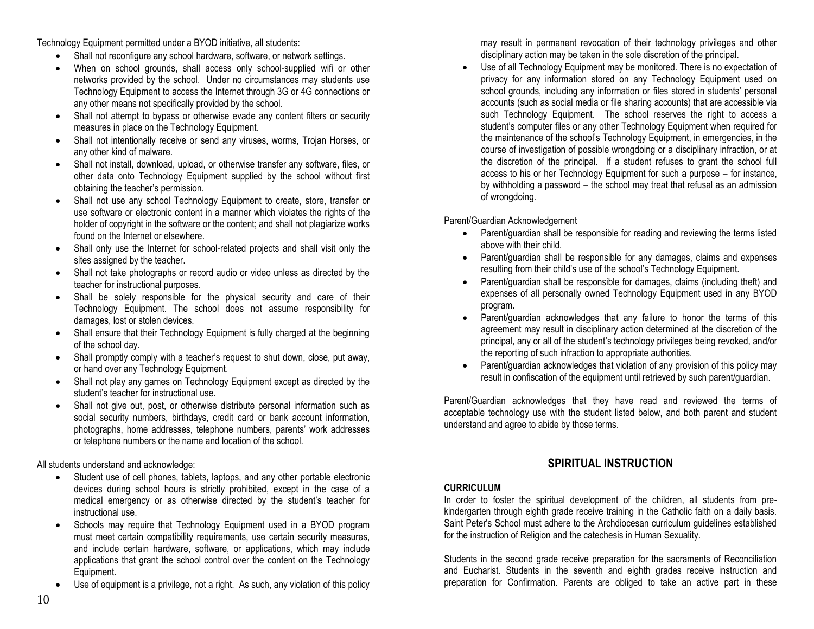Technology Equipment permitted under a BYOD initiative, all students:

- Shall not reconfigure any school hardware, software, or network settings.
- When on school grounds, shall access only school-supplied wifi or other networks provided by the school. Under no circumstances may students use Technology Equipment to access the Internet through 3G or 4G connections or any other means not specifically provided by the school.
- Shall not attempt to bypass or otherwise evade any content filters or security measures in place on the Technology Equipment.
- Shall not intentionally receive or send any viruses, worms, Trojan Horses, or any other kind of malware.
- Shall not install, download, upload, or otherwise transfer any software, files, or other data onto Technology Equipment supplied by the school without first obtaining the teacher's permission.
- Shall not use any school Technology Equipment to create, store, transfer or use software or electronic content in a manner which violates the rights of the holder of copyright in the software or the content; and shall not plagiarize works found on the Internet or elsewhere.
- Shall only use the Internet for school-related projects and shall visit only the sites assigned by the teacher.
- Shall not take photographs or record audio or video unless as directed by the teacher for instructional purposes.
- Shall be solely responsible for the physical security and care of their Technology Equipment. The school does not assume responsibility for damages, lost or stolen devices.
- Shall ensure that their Technology Equipment is fully charged at the beginning of the school day.
- Shall promptly comply with a teacher's request to shut down, close, put away, or hand over any Technology Equipment.
- Shall not play any games on Technology Equipment except as directed by the student's teacher for instructional use.
- Shall not give out, post, or otherwise distribute personal information such as social security numbers, birthdays, credit card or bank account information, photographs, home addresses, telephone numbers, parents' work addresses or telephone numbers or the name and location of the school.

## All students understand and acknowledge:

- Student use of cell phones, tablets, laptops, and any other portable electronic devices during school hours is strictly prohibited, except in the case of a medical emergency or as otherwise directed by the student's teacher for instructional use.
- Schools may require that Technology Equipment used in a BYOD program must meet certain compatibility requirements, use certain security measures, and include certain hardware, software, or applications, which may include applications that grant the school control over the content on the Technology Equipment.
- Use of equipment is a privilege, not a right. As such, any violation of this policy

may result in permanent revocation of their technology privileges and other disciplinary action may be taken in the sole discretion of the principal.

• Use of all Technology Equipment may be monitored. There is no expectation of privacy for any information stored on any Technology Equipment used on school grounds, including any information or files stored in students' personal accounts (such as social media or file sharing accounts) that are accessible via such Technology Equipment. The school reserves the right to access a student's computer files or any other Technology Equipment when required for the maintenance of the school's Technology Equipment, in emergencies, in the course of investigation of possible wrongdoing or a disciplinary infraction, or at the discretion of the principal. If a student refuses to grant the school full access to his or her Technology Equipment for such a purpose – for instance, by withholding a password – the school may treat that refusal as an admission of wrongdoing.

Parent/Guardian Acknowledgement

- Parent/guardian shall be responsible for reading and reviewing the terms listed above with their child.
- Parent/guardian shall be responsible for any damages, claims and expenses resulting from their child's use of the school's Technology Equipment.
- Parent/guardian shall be responsible for damages, claims (including theft) and expenses of all personally owned Technology Equipment used in any BYOD program.
- Parent/guardian acknowledges that any failure to honor the terms of this agreement may result in disciplinary action determined at the discretion of the principal, any or all of the student's technology privileges being revoked, and/or the reporting of such infraction to appropriate authorities.
- Parent/guardian acknowledges that violation of any provision of this policy may result in confiscation of the equipment until retrieved by such parent/guardian.

Parent/Guardian acknowledges that they have read and reviewed the terms of acceptable technology use with the student listed below, and both parent and student understand and agree to abide by those terms.

# **SPIRITUAL INSTRUCTION**

#### **CURRICULUM**

In order to foster the spiritual development of the children, all students from prekindergarten through eighth grade receive training in the Catholic faith on a daily basis. Saint Peter's School must adhere to the Archdiocesan curriculum guidelines established for the instruction of Religion and the catechesis in Human Sexuality.

Students in the second grade receive preparation for the sacraments of Reconciliation and Eucharist. Students in the seventh and eighth grades receive instruction and preparation for Confirmation. Parents are obliged to take an active part in these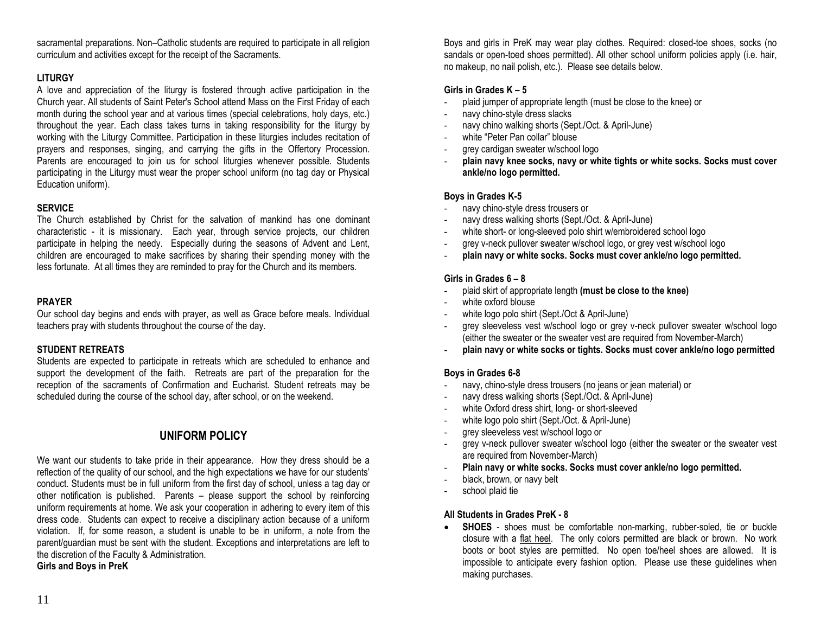11

sacramental preparations. Non–Catholic students are required to participate in all religion curriculum and activities except for the receipt of the Sacraments.

# **LITURGY**

A love and appreciation of the liturgy is fostered through active participation in the Church year. All students of Saint Peter's School attend Mass on the First Friday of each month during the school year and at various times (special celebrations, holy days, etc.) throughout the year. Each class takes turns in taking responsibility for the liturgy by working with the Liturgy Committee. Participation in these liturgies includes recitation of prayers and responses, singing, and carrying the gifts in the Offertory Procession. Parents are encouraged to join us for school liturgies whenever possible. Students participating in the Liturgy must wear the proper school uniform (no tag day or Physical Education uniform).

#### **SERVICE**

The Church established by Christ for the salvation of mankind has one dominant characteristic - it is missionary. Each year, through service projects, our children participate in helping the needy. Especially during the seasons of Advent and Lent, children are encouraged to make sacrifices by sharing their spending money with the less fortunate. At all times they are reminded to pray for the Church and its members.

#### **PRAYER**

Our school day begins and ends with prayer, as well as Grace before meals. Individual teachers pray with students throughout the course of the day.

## **STUDENT RETREATS**

Students are expected to participate in retreats which are scheduled to enhance and support the development of the faith. Retreats are part of the preparation for the reception of the sacraments of Confirmation and Eucharist. Student retreats may be scheduled during the course of the school day, after school, or on the weekend.

# **UNIFORM POLICY**

We want our students to take pride in their appearance. How they dress should be a reflection of the quality of our school, and the high expectations we have for our students' conduct. Students must be in full uniform from the first day of school, unless a tag day or other notification is published. Parents – please support the school by reinforcing uniform requirements at home. We ask your cooperation in adhering to every item of this dress code. Students can expect to receive a disciplinary action because of a uniform violation. If, for some reason, a student is unable to be in uniform, a note from the parent/guardian must be sent with the student. Exceptions and interpretations are left to the discretion of the Faculty & Administration.

**Girls and Boys in PreK**

Boys and girls in PreK may wear play clothes. Required: closed-toe shoes, socks (no sandals or open-toed shoes permitted). All other school uniform policies apply (i.e. hair, no makeup, no nail polish, etc.). Please see details below.

# **Girls in Grades K – 5**

- plaid jumper of appropriate length (must be close to the knee) or
- navy chino-style dress slacks
- navy chino walking shorts (Sept./Oct. & April-June)
- white "Peter Pan collar" blouse
- grey cardigan sweater w/school logo
- **plain navy knee socks, navy or white tights or white socks. Socks must cover ankle/no logo permitted.**

## **Boys in Grades K-5**

- navy chino-style dress trousers or
- navy dress walking shorts (Sept./Oct. & April-June)
- white short- or long-sleeved polo shirt w/embroidered school logo
- grey v-neck pullover sweater w/school logo, or grey vest w/school logo
- **plain navy or white socks. Socks must cover ankle/no logo permitted.**

## **Girls in Grades 6 – 8**

- plaid skirt of appropriate length **(must be close to the knee)**
- white oxford blouse
- white logo polo shirt (Sept./Oct & April-June)
- grey sleeveless vest w/school logo or grey v-neck pullover sweater w/school logo (either the sweater or the sweater vest are required from November-March)
- **plain navy or white socks or tights. Socks must cover ankle/no logo permitted**

## **Boys in Grades 6-8**

- navy, chino-style dress trousers (no jeans or jean material) or
- navy dress walking shorts (Sept./Oct. & April-June)
- white Oxford dress shirt, long- or short-sleeved
- white logo polo shirt (Sept./Oct. & April-June)
- grey sleeveless vest w/school logo or
- grey v-neck pullover sweater w/school logo (either the sweater or the sweater vest are required from November-March)
- **Plain navy or white socks. Socks must cover ankle/no logo permitted.**
- black, brown, or navy belt
- school plaid tie

## **All Students in Grades PreK - 8**

• **SHOES** - shoes must be comfortable non-marking, rubber-soled, tie or buckle closure with a flat heel. The only colors permitted are black or brown. No work boots or boot styles are permitted. No open toe/heel shoes are allowed. It is impossible to anticipate every fashion option. Please use these guidelines when making purchases.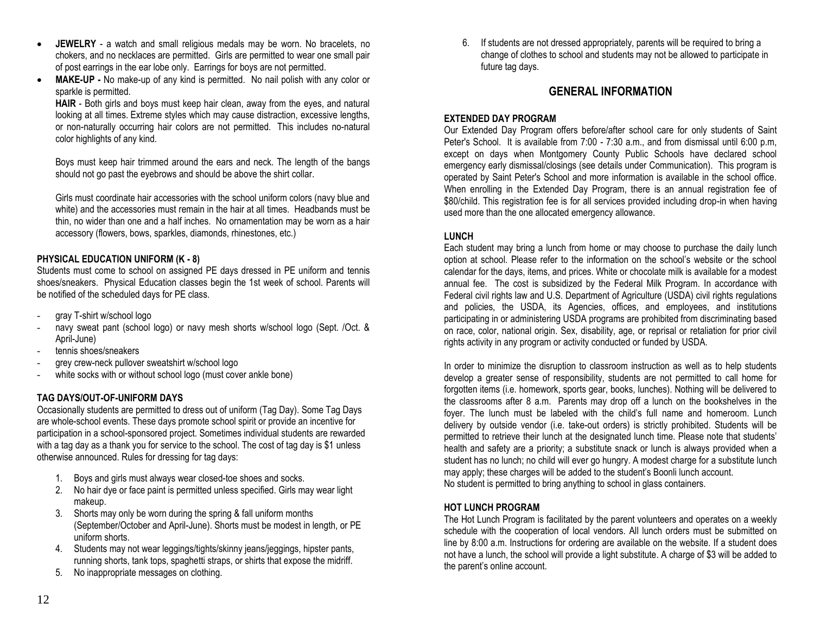- **JEWELRY**  a watch and small religious medals may be worn. No bracelets, no chokers, and no necklaces are permitted. Girls are permitted to wear one small pair of post earrings in the ear lobe only. Earrings for boys are not permitted.
- **MAKE-UP -** No make-up of any kind is permitted. No nail polish with any color or sparkle is permitted.

**HAIR** - Both girls and boys must keep hair clean, away from the eyes, and natural looking at all times. Extreme styles which may cause distraction, excessive lengths, or non-naturally occurring hair colors are not permitted. This includes no-natural color highlights of any kind.

Boys must keep hair trimmed around the ears and neck. The length of the bangs should not go past the eyebrows and should be above the shirt collar.

Girls must coordinate hair accessories with the school uniform colors (navy blue and white) and the accessories must remain in the hair at all times. Headbands must be thin, no wider than one and a half inches. No ornamentation may be worn as a hair accessory (flowers, bows, sparkles, diamonds, rhinestones, etc.)

#### **PHYSICAL EDUCATION UNIFORM (K - 8)**

Students must come to school on assigned PE days dressed in PE uniform and tennis shoes/sneakers. Physical Education classes begin the 1st week of school. Parents will be notified of the scheduled days for PE class.

- gray T-shirt w/school logo
- navy sweat pant (school logo) or navy mesh shorts w/school logo (Sept. /Oct. & April-June)
- tennis shoes/sneakers
- grey crew-neck pullover sweatshirt w/school logo
- white socks with or without school logo (must cover ankle bone)

#### **TAG DAYS/OUT-OF-UNIFORM DAYS**

Occasionally students are permitted to dress out of uniform (Tag Day). Some Tag Days are whole-school events. These days promote school spirit or provide an incentive for participation in a school-sponsored project. Sometimes individual students are rewarded with a tag day as a thank you for service to the school. The cost of tag day is \$1 unless otherwise announced. Rules for dressing for tag days:

- 1. Boys and girls must always wear closed-toe shoes and socks.
- 2. No hair dye or face paint is permitted unless specified. Girls may wear light makeup.
- 3. Shorts may only be worn during the spring & fall uniform months (September/October and April-June). Shorts must be modest in length, or PE uniform shorts.
- 4. Students may not wear leggings/tights/skinny jeans/jeggings, hipster pants, running shorts, tank tops, spaghetti straps, or shirts that expose the midriff.
- 5. No inappropriate messages on clothing.

6. If students are not dressed appropriately, parents will be required to bring a change of clothes to school and students may not be allowed to participate in future tag days.

# **GENERAL INFORMATION**

#### **EXTENDED DAY PROGRAM**

Our Extended Day Program offers before/after school care for only students of Saint Peter's School. It is available from 7:00 - 7:30 a.m., and from dismissal until 6:00 p.m, except on days when Montgomery County Public Schools have declared school emergency early dismissal/closings (see details under Communication). This program is operated by Saint Peter's School and more information is available in the school office. When enrolling in the Extended Day Program, there is an annual registration fee of \$80/child. This registration fee is for all services provided including drop-in when having used more than the one allocated emergency allowance.

#### **LUNCH**

Each student may bring a lunch from home or may choose to purchase the daily lunch option at school. Please refer to the information on the school's website or the school calendar for the days, items, and prices. White or chocolate milk is available for a modest annual fee. The cost is subsidized by the Federal Milk Program. In accordance with Federal civil rights law and U.S. Department of Agriculture (USDA) civil rights regulations and policies, the USDA, its Agencies, offices, and employees, and institutions participating in or administering USDA programs are prohibited from discriminating based on race, color, national origin. Sex, disability, age, or reprisal or retaliation for prior civil rights activity in any program or activity conducted or funded by USDA.

In order to minimize the disruption to classroom instruction as well as to help students develop a greater sense of responsibility, students are not permitted to call home for forgotten items (i.e. homework, sports gear, books, lunches). Nothing will be delivered to the classrooms after 8 a.m. Parents may drop off a lunch on the bookshelves in the foyer. The lunch must be labeled with the child's full name and homeroom. Lunch delivery by outside vendor (i.e. take-out orders) is strictly prohibited. Students will be permitted to retrieve their lunch at the designated lunch time. Please note that students' health and safety are a priority; a substitute snack or lunch is always provided when a student has no lunch; no child will ever go hungry. A modest charge for a substitute lunch may apply; these charges will be added to the student's Boonli lunch account. No student is permitted to bring anything to school in glass containers.

#### **HOT LUNCH PROGRAM**

The Hot Lunch Program is facilitated by the parent volunteers and operates on a weekly schedule with the cooperation of local vendors. All lunch orders must be submitted on line by 8:00 a.m. Instructions for ordering are available on the website. If a student does not have a lunch, the school will provide a light substitute. A charge of \$3 will be added to the parent's online account.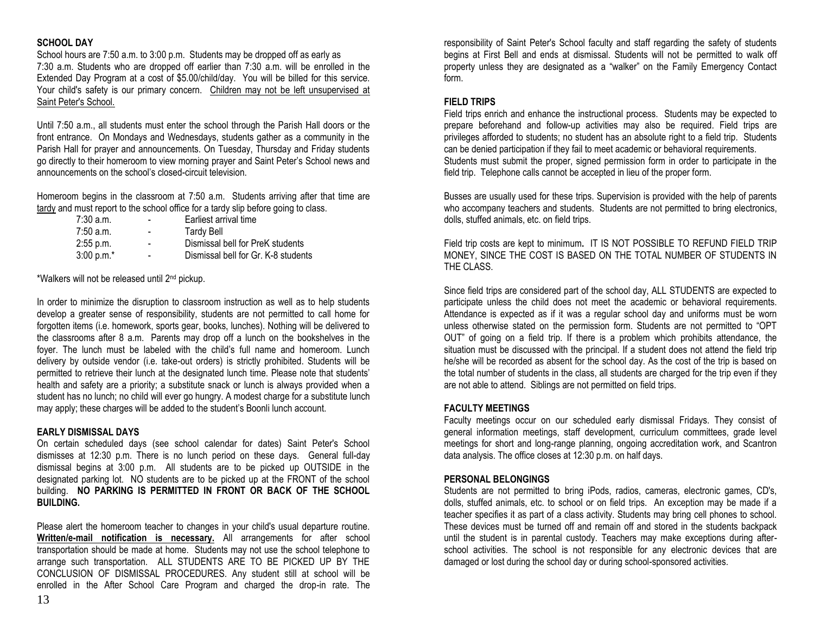#### **SCHOOL DAY**

School hours are 7:50 a.m. to 3:00 p.m. Students may be dropped off as early as 7:30 a.m. Students who are dropped off earlier than 7:30 a.m. will be enrolled in the Extended Day Program at a cost of \$5.00/child/day. You will be billed for this service. Your child's safety is our primary concern. Children may not be left unsupervised at Saint Peter's School.

Until 7:50 a.m., all students must enter the school through the Parish Hall doors or the front entrance. On Mondays and Wednesdays, students gather as a community in the Parish Hall for prayer and announcements. On Tuesday, Thursday and Friday students go directly to their homeroom to view morning prayer and Saint Peter's School news and announcements on the school's closed-circuit television.

Homeroom begins in the classroom at 7:50 a.m. Students arriving after that time are tardy and must report to the school office for a tardy slip before going to class.

| $7:30$ a.m.  | ۰ | Earliest arrival time               |
|--------------|---|-------------------------------------|
| $7:50$ a.m.  | ۰ | Tardy Bell                          |
| $2:55$ p.m.  | ۰ | Dismissal bell for PreK students    |
| $3:00 p.m.*$ |   | Dismissal bell for Gr. K-8 students |

\*Walkers will not be released until 2nd pickup.

In order to minimize the disruption to classroom instruction as well as to help students develop a greater sense of responsibility, students are not permitted to call home for forgotten items (i.e. homework, sports gear, books, lunches). Nothing will be delivered to the classrooms after 8 a.m. Parents may drop off a lunch on the bookshelves in the foyer. The lunch must be labeled with the child's full name and homeroom. Lunch delivery by outside vendor (i.e. take-out orders) is strictly prohibited. Students will be permitted to retrieve their lunch at the designated lunch time. Please note that students' health and safety are a priority; a substitute snack or lunch is always provided when a student has no lunch; no child will ever go hungry. A modest charge for a substitute lunch may apply; these charges will be added to the student's Boonli lunch account.

#### **EARLY DISMISSAL DAYS**

On certain scheduled days (see school calendar for dates) Saint Peter's School dismisses at 12:30 p.m. There is no lunch period on these days. General full-day dismissal begins at 3:00 p.m. All students are to be picked up OUTSIDE in the designated parking lot. NO students are to be picked up at the FRONT of the school building. **NO PARKING IS PERMITTED IN FRONT OR BACK OF THE SCHOOL BUILDING.** 

Please alert the homeroom teacher to changes in your child's usual departure routine. **Written/e-mail notification is necessary.** All arrangements for after school transportation should be made at home. Students may not use the school telephone to arrange such transportation. ALL STUDENTS ARE TO BE PICKED UP BY THE CONCLUSION OF DISMISSAL PROCEDURES. Any student still at school will be enrolled in the After School Care Program and charged the drop-in rate. The responsibility of Saint Peter's School faculty and staff regarding the safety of students begins at First Bell and ends at dismissal. Students will not be permitted to walk off property unless they are designated as a "walker" on the Family Emergency Contact form.

#### **FIELD TRIPS**

Field trips enrich and enhance the instructional process. Students may be expected to prepare beforehand and follow-up activities may also be required. Field trips are privileges afforded to students; no student has an absolute right to a field trip. Students can be denied participation if they fail to meet academic or behavioral requirements. Students must submit the proper, signed permission form in order to participate in the field trip. Telephone calls cannot be accepted in lieu of the proper form.

Busses are usually used for these trips. Supervision is provided with the help of parents who accompany teachers and students. Students are not permitted to bring electronics, dolls, stuffed animals, etc. on field trips.

Field trip costs are kept to minimum**.** IT IS NOT POSSIBLE TO REFUND FIELD TRIP MONEY, SINCE THE COST IS BASED ON THE TOTAL NUMBER OF STUDENTS IN THE CLASS.

Since field trips are considered part of the school day, ALL STUDENTS are expected to participate unless the child does not meet the academic or behavioral requirements. Attendance is expected as if it was a regular school day and uniforms must be worn unless otherwise stated on the permission form. Students are not permitted to "OPT OUT" of going on a field trip. If there is a problem which prohibits attendance, the situation must be discussed with the principal. If a student does not attend the field trip he/she will be recorded as absent for the school day. As the cost of the trip is based on the total number of students in the class, all students are charged for the trip even if they are not able to attend. Siblings are not permitted on field trips.

#### **FACULTY MEETINGS**

Faculty meetings occur on our scheduled early dismissal Fridays. They consist of general information meetings, staff development, curriculum committees, grade level meetings for short and long-range planning, ongoing accreditation work, and Scantron data analysis. The office closes at 12:30 p.m. on half days.

#### **PERSONAL BELONGINGS**

Students are not permitted to bring iPods, radios, cameras, electronic games, CD's, dolls, stuffed animals, etc. to school or on field trips. An exception may be made if a teacher specifies it as part of a class activity. Students may bring cell phones to school. These devices must be turned off and remain off and stored in the students backpack until the student is in parental custody. Teachers may make exceptions during afterschool activities. The school is not responsible for any electronic devices that are damaged or lost during the school day or during school-sponsored activities.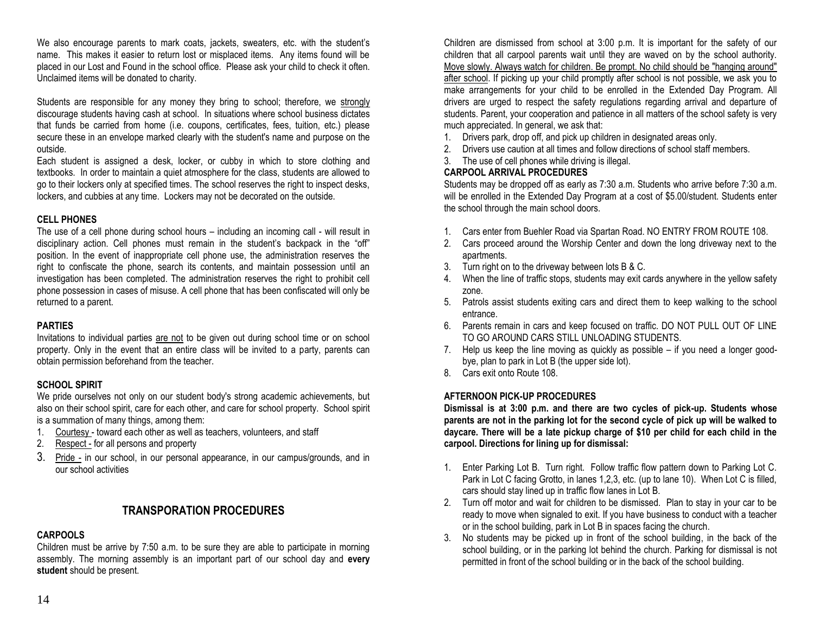We also encourage parents to mark coats, jackets, sweaters, etc. with the student's name. This makes it easier to return lost or misplaced items. Any items found will be placed in our Lost and Found in the school office. Please ask your child to check it often. Unclaimed items will be donated to charity.

Students are responsible for any money they bring to school; therefore, we strongly discourage students having cash at school. In situations where school business dictates that funds be carried from home (i.e. coupons, certificates, fees, tuition, etc.) please secure these in an envelope marked clearly with the student's name and purpose on the outside.

Each student is assigned a desk, locker, or cubby in which to store clothing and textbooks. In order to maintain a quiet atmosphere for the class, students are allowed to go to their lockers only at specified times. The school reserves the right to inspect desks, lockers, and cubbies at any time. Lockers may not be decorated on the outside.

#### **CELL PHONES**

The use of a cell phone during school hours – including an incoming call - will result in disciplinary action. Cell phones must remain in the student's backpack in the "off" position. In the event of inappropriate cell phone use, the administration reserves the right to confiscate the phone, search its contents, and maintain possession until an investigation has been completed. The administration reserves the right to prohibit cell phone possession in cases of misuse. A cell phone that has been confiscated will only be returned to a parent.

#### **PARTIES**

Invitations to individual parties are not to be given out during school time or on school property. Only in the event that an entire class will be invited to a party, parents can obtain permission beforehand from the teacher.

#### **SCHOOL SPIRIT**

We pride ourselves not only on our student body's strong academic achievements, but also on their school spirit, care for each other, and care for school property. School spirit is a summation of many things, among them:

- 1. Courtesy toward each other as well as teachers, volunteers, and staff
- 2. Respect for all persons and property
- 3. Pride in our school, in our personal appearance, in our campus/grounds, and in our school activities

# **TRANSPORATION PROCEDURES**

#### **CARPOOLS**

Children must be arrive by 7:50 a.m. to be sure they are able to participate in morning assembly. The morning assembly is an important part of our school day and **every student** should be present.

Children are dismissed from school at 3:00 p.m. It is important for the safety of our children that all carpool parents wait until they are waved on by the school authority. Move slowly. Always watch for children. Be prompt. No child should be "hanging around" after school. If picking up your child promptly after school is not possible, we ask you to make arrangements for your child to be enrolled in the Extended Day Program. All drivers are urged to respect the safety regulations regarding arrival and departure of students. Parent, your cooperation and patience in all matters of the school safety is very much appreciated. In general, we ask that:

- 1. Drivers park, drop off, and pick up children in designated areas only.
- 2. Drivers use caution at all times and follow directions of school staff members.
- 3. The use of cell phones while driving is illegal.

#### **CARPOOL ARRIVAL PROCEDURES**

Students may be dropped off as early as 7:30 a.m. Students who arrive before 7:30 a.m. will be enrolled in the Extended Day Program at a cost of \$5.00/student. Students enter the school through the main school doors.

- 1. Cars enter from Buehler Road via Spartan Road. NO ENTRY FROM ROUTE 108.
- 2. Cars proceed around the Worship Center and down the long driveway next to the apartments.
- 3. Turn right on to the driveway between lots B & C.
- 4. When the line of traffic stops, students may exit cards anywhere in the yellow safety zone.
- 5. Patrols assist students exiting cars and direct them to keep walking to the school entrance.
- 6. Parents remain in cars and keep focused on traffic. DO NOT PULL OUT OF LINE TO GO AROUND CARS STILL UNLOADING STUDENTS.
- 7. Help us keep the line moving as quickly as possible if you need a longer goodbye, plan to park in Lot B (the upper side lot).
- 8. Cars exit onto Route 108.

#### **AFTERNOON PICK-UP PROCEDURES**

**Dismissal is at 3:00 p.m. and there are two cycles of pick-up. Students whose parents are not in the parking lot for the second cycle of pick up will be walked to daycare. There will be a late pickup charge of \$10 per child for each child in the carpool. Directions for lining up for dismissal:**

- 1. Enter Parking Lot B. Turn right. Follow traffic flow pattern down to Parking Lot C. Park in Lot C facing Grotto, in lanes 1,2,3, etc. (up to lane 10). When Lot C is filled, cars should stay lined up in traffic flow lanes in Lot B.
- 2. Turn off motor and wait for children to be dismissed. Plan to stay in your car to be ready to move when signaled to exit. If you have business to conduct with a teacher or in the school building, park in Lot B in spaces facing the church.
- 3. No students may be picked up in front of the school building, in the back of the school building, or in the parking lot behind the church. Parking for dismissal is not permitted in front of the school building or in the back of the school building.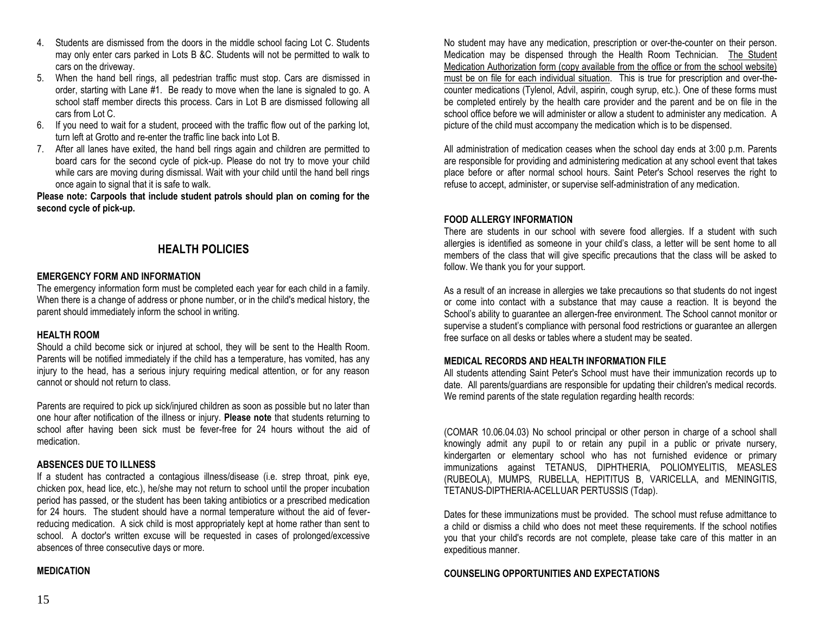- 4. Students are dismissed from the doors in the middle school facing Lot C. Students may only enter cars parked in Lots B &C. Students will not be permitted to walk to cars on the driveway.
- 5. When the hand bell rings, all pedestrian traffic must stop. Cars are dismissed in order, starting with Lane #1. Be ready to move when the lane is signaled to go. A school staff member directs this process. Cars in Lot B are dismissed following all cars from Lot C.
- 6. If you need to wait for a student, proceed with the traffic flow out of the parking lot, turn left at Grotto and re-enter the traffic line back into Lot B.
- 7. After all lanes have exited, the hand bell rings again and children are permitted to board cars for the second cycle of pick-up. Please do not try to move your child while cars are moving during dismissal. Wait with your child until the hand bell rings once again to signal that it is safe to walk.

**Please note: Carpools that include student patrols should plan on coming for the second cycle of pick-up.**

# **HEALTH POLICIES**

#### **EMERGENCY FORM AND INFORMATION**

The emergency information form must be completed each year for each child in a family. When there is a change of address or phone number, or in the child's medical history, the parent should immediately inform the school in writing.

#### **HEALTH ROOM**

Should a child become sick or injured at school, they will be sent to the Health Room. Parents will be notified immediately if the child has a temperature, has vomited, has any injury to the head, has a serious injury requiring medical attention, or for any reason cannot or should not return to class.

Parents are required to pick up sick/injured children as soon as possible but no later than one hour after notification of the illness or injury. **Please note** that students returning to school after having been sick must be fever-free for 24 hours without the aid of medication.

#### **ABSENCES DUE TO ILLNESS**

If a student has contracted a contagious illness/disease (i.e. strep throat, pink eye, chicken pox, head lice, etc.), he/she may not return to school until the proper incubation period has passed, or the student has been taking antibiotics or a prescribed medication for 24 hours. The student should have a normal temperature without the aid of feverreducing medication. A sick child is most appropriately kept at home rather than sent to school. A doctor's written excuse will be requested in cases of prolonged/excessive absences of three consecutive days or more.

#### **MEDICATION**

No student may have any medication, prescription or over-the-counter on their person. Medication may be dispensed through the Health Room Technician. The Student Medication Authorization form (copy available from the office or from the school website) must be on file for each individual situation. This is true for prescription and over-thecounter medications (Tylenol, Advil, aspirin, cough syrup, etc.). One of these forms must be completed entirely by the health care provider and the parent and be on file in the school office before we will administer or allow a student to administer any medication. A picture of the child must accompany the medication which is to be dispensed.

All administration of medication ceases when the school day ends at 3:00 p.m. Parents are responsible for providing and administering medication at any school event that takes place before or after normal school hours. Saint Peter's School reserves the right to refuse to accept, administer, or supervise self-administration of any medication.

#### **FOOD ALLERGY INFORMATION**

There are students in our school with severe food allergies. If a student with such allergies is identified as someone in your child's class, a letter will be sent home to all members of the class that will give specific precautions that the class will be asked to follow. We thank you for your support.

As a result of an increase in allergies we take precautions so that students do not ingest or come into contact with a substance that may cause a reaction. It is beyond the School's ability to guarantee an allergen-free environment. The School cannot monitor or supervise a student's compliance with personal food restrictions or guarantee an allergen free surface on all desks or tables where a student may be seated.

#### **MEDICAL RECORDS AND HEALTH INFORMATION FILE**

All students attending Saint Peter's School must have their immunization records up to date. All parents/guardians are responsible for updating their children's medical records. We remind parents of the state regulation regarding health records:

(COMAR 10.06.04.03) No school principal or other person in charge of a school shall knowingly admit any pupil to or retain any pupil in a public or private nursery, kindergarten or elementary school who has not furnished evidence or primary immunizations against TETANUS, DIPHTHERIA, POLIOMYELITIS, MEASLES (RUBEOLA), MUMPS, RUBELLA, HEPITITUS B, VARICELLA, and MENINGITIS, TETANUS-DIPTHERIA-ACELLUAR PERTUSSIS (Tdap).

Dates for these immunizations must be provided. The school must refuse admittance to a child or dismiss a child who does not meet these requirements. If the school notifies you that your child's records are not complete, please take care of this matter in an expeditious manner.

#### **COUNSELING OPPORTUNITIES AND EXPECTATIONS**